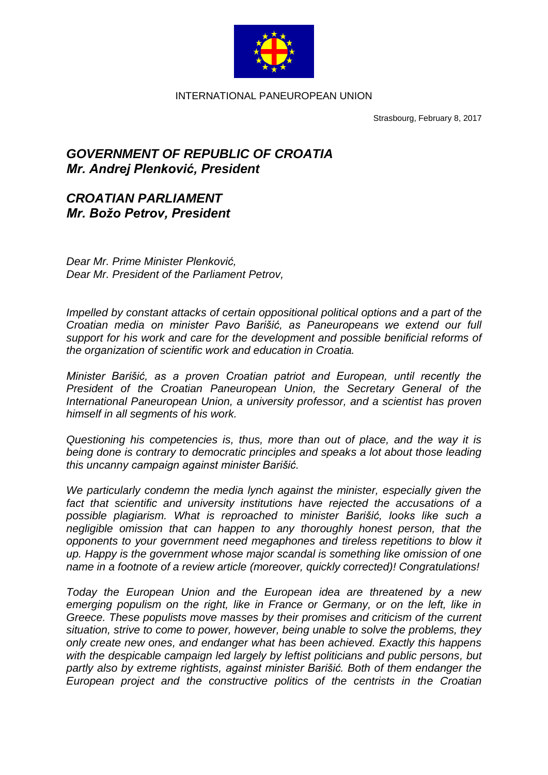

INTERNATIONAL PANEUROPEAN UNION

Strasbourg, February 8, 2017

## *GOVERNMENT OF REPUBLIC OF CROATIA Mr. Andrej Plenković, President*

## *CROATIAN PARLIAMENT Mr. Božo Petrov, President*

*Dear Mr. Prime Minister Plenković, Dear Mr. President of the Parliament Petrov,*

*Impelled by constant attacks of certain oppositional political options and a part of the Croatian media on minister Pavo Barišić, as Paneuropeans we extend our full support for his work and care for the development and possible benificial reforms of the organization of scientific work and education in Croatia.*

*Minister Barišić, as a proven Croatian patriot and European, until recently the President of the Croatian Paneuropean Union, the Secretary General of the International Paneuropean Union, a university professor, and a scientist has proven himself in all segments of his work.*

*Questioning his competencies is, thus, more than out of place, and the way it is being done is contrary to democratic principles and speaks a lot about those leading this uncanny campaign against minister Barišić.*

*We particularly condemn the media lynch against the minister, especially given the fact that scientific and university institutions have rejected the accusations of a possible plagiarism. What is reproached to minister Barišić, looks like such a negligible omission that can happen to any thoroughly honest person, that the opponents to your government need megaphones and tireless repetitions to blow it up. Happy is the government whose major scandal is something like omission of one name in a footnote of a review article (moreover, quickly corrected)! Congratulations!*

*Today the European Union and the European idea are threatened by a new emerging populism on the right, like in France or Germany, or on the left, like in Greece. These populists move masses by their promises and criticism of the current situation, strive to come to power, however, being unable to solve the problems, they only create new ones, and endanger what has been achieved. Exactly this happens with the despicable campaign led largely by leftist politicians and public persons, but partly also by extreme rightists, against minister Barišić. Both of them endanger the European project and the constructive politics of the centrists in the Croatian*